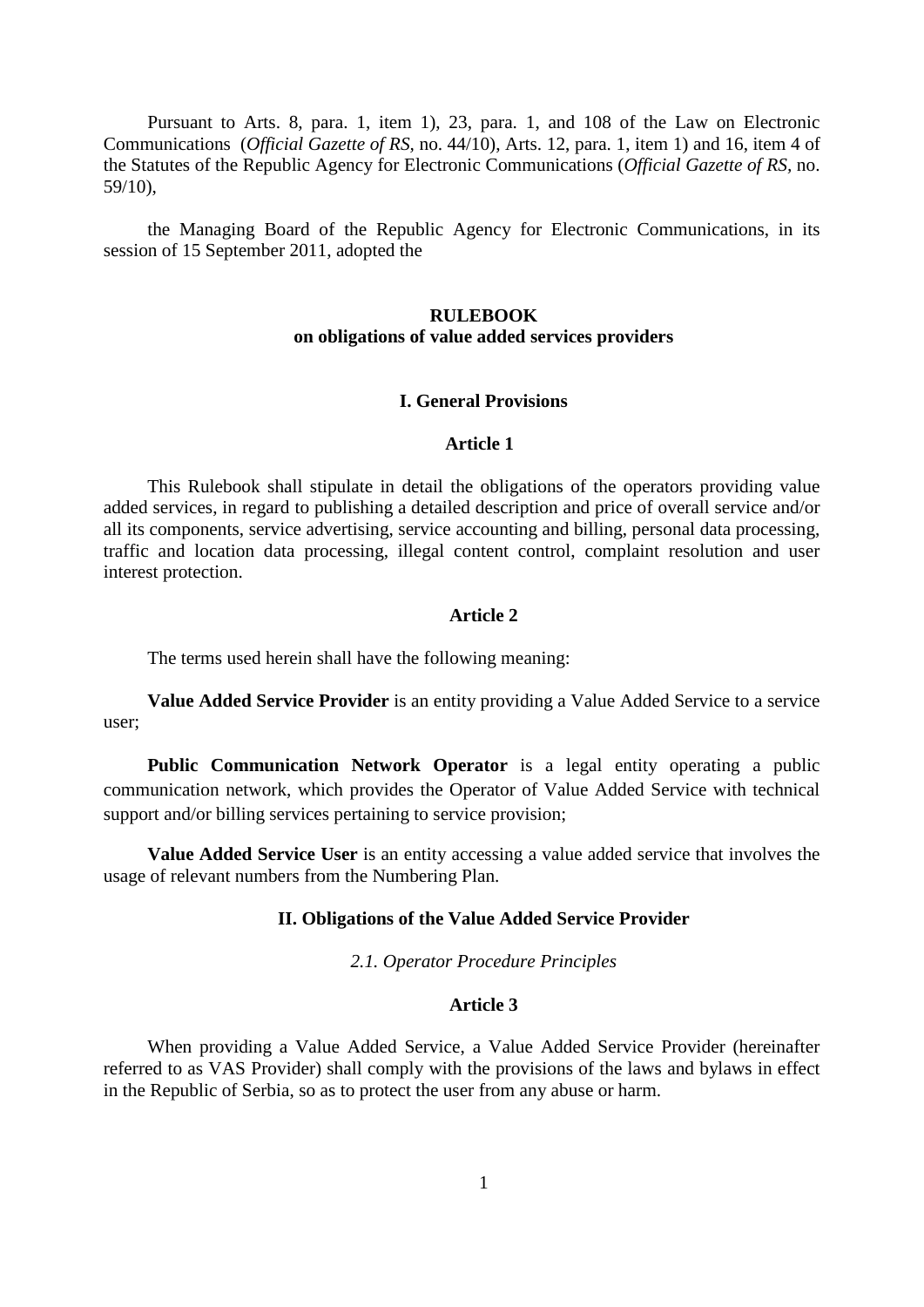Pursuant to Arts. 8, para. 1, item 1), 23, para. 1, and 108 of the Law on Electronic Communications (*Official Gazette of RS,* no. 44/10), Arts. 12, para. 1, item 1) and 16, item 4 of the Statutes of the Republic Agency for Electronic Communications (*Official Gazette of RS,* no. 59/10),

the Managing Board of the Republic Agency for Electronic Communications, in its session of 15 September 2011, adopted the

# **RULEBOOK on obligations of value added services providers**

#### **I. General Provisions**

# **Article 1**

This Rulebook shall stipulate in detail the obligations of the operators providing value added services, in regard to publishing a detailed description and price of overall service and/or all its components, service advertising, service accounting and billing, personal data processing, traffic and location data processing, illegal content control, complaint resolution and user interest protection.

#### **Article 2**

The terms used herein shall have the following meaning:

**Value Added Service Provider** is an entity providing a Value Added Service to a service user;

**Public Communication Network Operator** is a legal entity operating a public communication network, which provides the Operator of Value Added Service with technical support and/or billing services pertaining to service provision;

**Value Added Service User** is an entity accessing a value added service that involves the usage of relevant numbers from the Numbering Plan.

# **II. Obligations of the Value Added Service Provider**

*2.1. Operator Procedure Principles*

#### **Article 3**

When providing a Value Added Service, a Value Added Service Provider (hereinafter referred to as VAS Provider) shall comply with the provisions of the laws and bylaws in effect in the Republic of Serbia, so as to protect the user from any abuse or harm.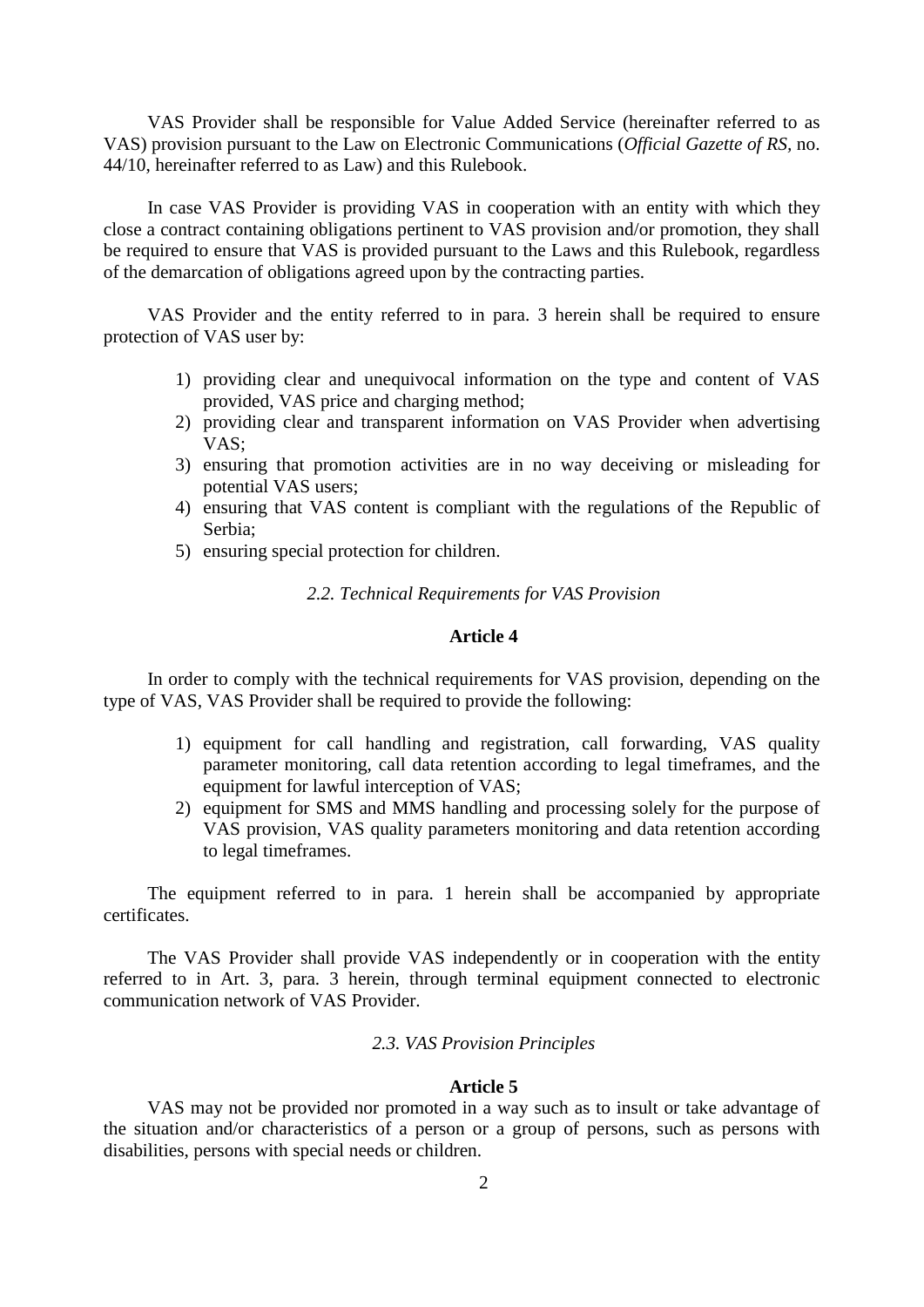VAS Provider shall be responsible for Value Added Service (hereinafter referred to as VAS) provision pursuant to the Law on Electronic Communications (*Official Gazette of RS,* no. 44/10, hereinafter referred to as Law) and this Rulebook.

In case VAS Provider is providing VAS in cooperation with an entity with which they close a contract containing obligations pertinent to VAS provision and/or promotion, they shall be required to ensure that VAS is provided pursuant to the Laws and this Rulebook, regardless of the demarcation of obligations agreed upon by the contracting parties.

VAS Provider and the entity referred to in para. 3 herein shall be required to ensure protection of VAS user by:

- 1) providing clear and unequivocal information on the type and content of VAS provided, VAS price and charging method;
- 2) providing clear and transparent information on VAS Provider when advertising VAS;
- 3) ensuring that promotion activities are in no way deceiving or misleading for potential VAS users;
- 4) ensuring that VAS content is compliant with the regulations of the Republic of Serbia;
- 5) ensuring special protection for children.

*2.2. Technical Requirements for VAS Provision*

# **Article 4**

In order to comply with the technical requirements for VAS provision, depending on the type of VAS, VAS Provider shall be required to provide the following:

- 1) equipment for call handling and registration, call forwarding, VAS quality parameter monitoring, call data retention according to legal timeframes, and the equipment for lawful interception of VAS;
- 2) equipment for SMS and MMS handling and processing solely for the purpose of VAS provision, VAS quality parameters monitoring and data retention according to legal timeframes.

The equipment referred to in para. 1 herein shall be accompanied by appropriate certificates.

The VAS Provider shall provide VAS independently or in cooperation with the entity referred to in Art. 3, para. 3 herein, through terminal equipment connected to electronic communication network of VAS Provider.

# *2.3. VAS Provision Principles*

### **Article 5**

VAS may not be provided nor promoted in a way such as to insult or take advantage of the situation and/or characteristics of a person or a group of persons, such as persons with disabilities, persons with special needs or children.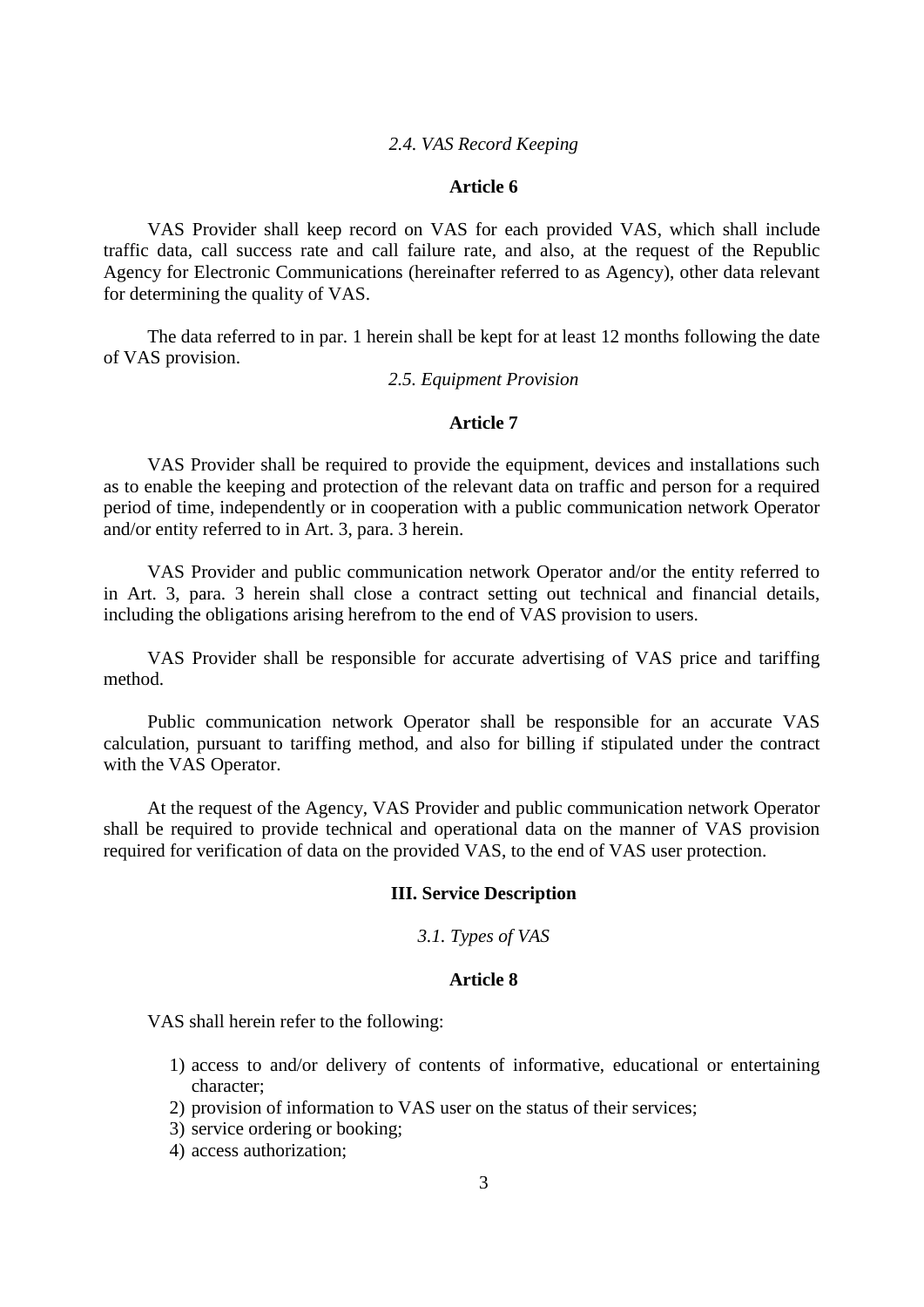### *2.4. VAS Record Keeping*

# **Article 6**

VAS Provider shall keep record on VAS for each provided VAS, which shall include traffic data, call success rate and call failure rate, and also, at the request of the Republic Agency for Electronic Communications (hereinafter referred to as Agency), other data relevant for determining the quality of VAS.

The data referred to in par. 1 herein shall be kept for at least 12 months following the date of VAS provision.

# *2.5. Equipment Provision*

# **Article 7**

VAS Provider shall be required to provide the equipment, devices and installations such as to enable the keeping and protection of the relevant data on traffic and person for a required period of time, independently or in cooperation with a public communication network Operator and/or entity referred to in Art. 3, para. 3 herein.

VAS Provider and public communication network Operator and/or the entity referred to in Art. 3, para. 3 herein shall close a contract setting out technical and financial details, including the obligations arising herefrom to the end of VAS provision to users.

VAS Provider shall be responsible for accurate advertising of VAS price and tariffing method.

Public communication network Operator shall be responsible for an accurate VAS calculation, pursuant to tariffing method, and also for billing if stipulated under the contract with the VAS Operator.

At the request of the Agency, VAS Provider and public communication network Operator shall be required to provide technical and operational data on the manner of VAS provision required for verification of data on the provided VAS, to the end of VAS user protection.

# **III. Service Description**

## *3.1. Types of VAS*

# **Article 8**

VAS shall herein refer to the following:

- 1) access to and/or delivery of contents of informative, educational or entertaining character;
- 2) provision of information to VAS user on the status of their services;
- 3) service ordering or booking;
- 4) access authorization;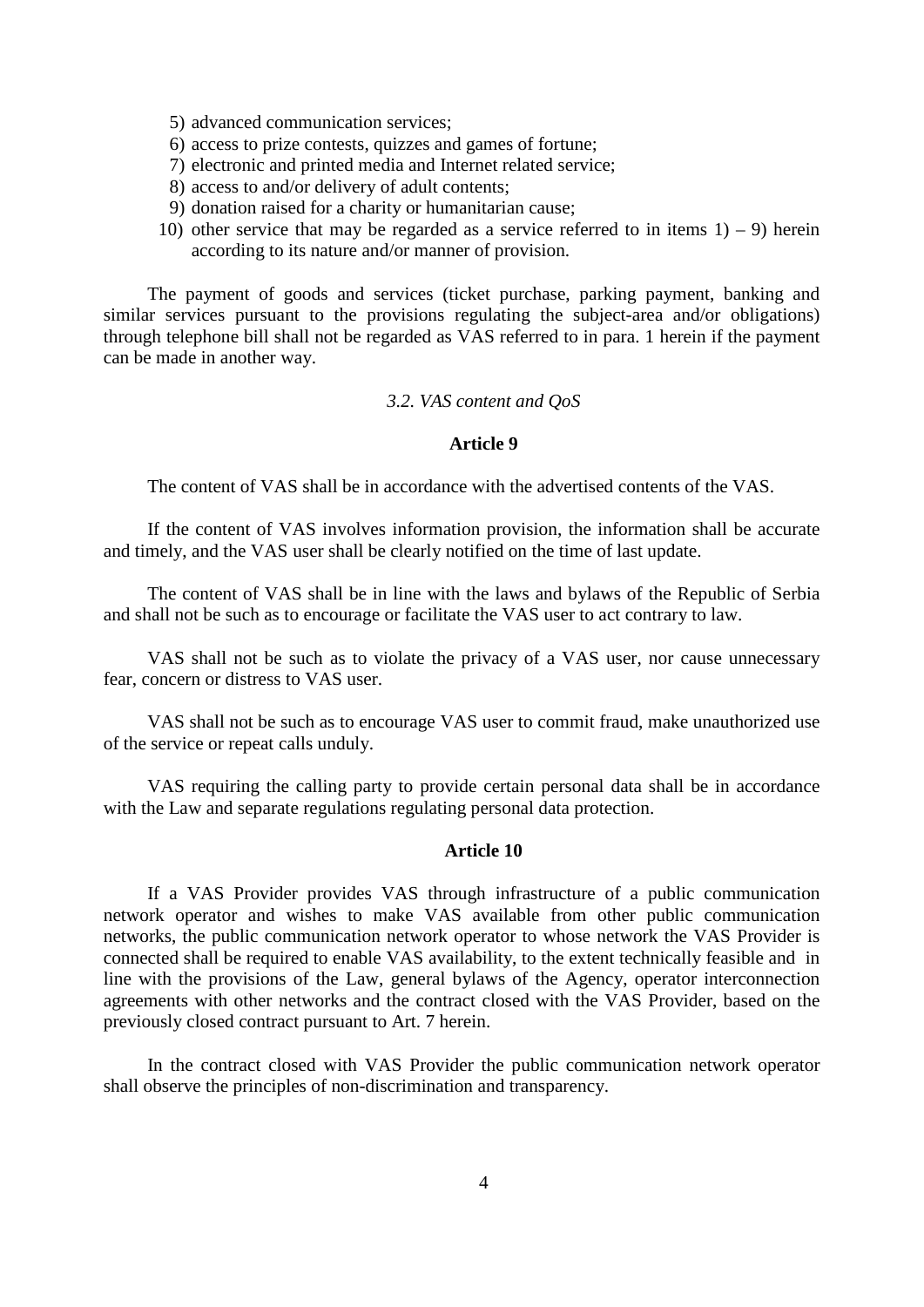- 5) advanced communication services;
- 6) access to prize contests, quizzes and games of fortune;
- 7) electronic and printed media and Internet related service;
- 8) access to and/or delivery of adult contents;
- 9) donation raised for a charity or humanitarian cause;
- 10) other service that may be regarded as a service referred to in items  $1) 9$  herein according to its nature and/or manner of provision.

The payment of goods and services (ticket purchase, parking payment, banking and similar services pursuant to the provisions regulating the subject-area and/or obligations) through telephone bill shall not be regarded as VAS referred to in para. 1 herein if the payment can be made in another way.

#### *3.2. VAS content and QoS*

# **Article 9**

The content of VAS shall be in accordance with the advertised contents of the VAS.

If the content of VAS involves information provision, the information shall be accurate and timely, and the VAS user shall be clearly notified on the time of last update.

The content of VAS shall be in line with the laws and bylaws of the Republic of Serbia and shall not be such as to encourage or facilitate the VAS user to act contrary to law.

VAS shall not be such as to violate the privacy of a VAS user, nor cause unnecessary fear, concern or distress to VAS user.

VAS shall not be such as to encourage VAS user to commit fraud, make unauthorized use of the service or repeat calls unduly.

VAS requiring the calling party to provide certain personal data shall be in accordance with the Law and separate regulations regulating personal data protection.

#### **Article 10**

If a VAS Provider provides VAS through infrastructure of a public communication network operator and wishes to make VAS available from other public communication networks, the public communication network operator to whose network the VAS Provider is connected shall be required to enable VAS availability, to the extent technically feasible and in line with the provisions of the Law, general bylaws of the Agency, operator interconnection agreements with other networks and the contract closed with the VAS Provider, based on the previously closed contract pursuant to Art. 7 herein.

In the contract closed with VAS Provider the public communication network operator shall observe the principles of non-discrimination and transparency.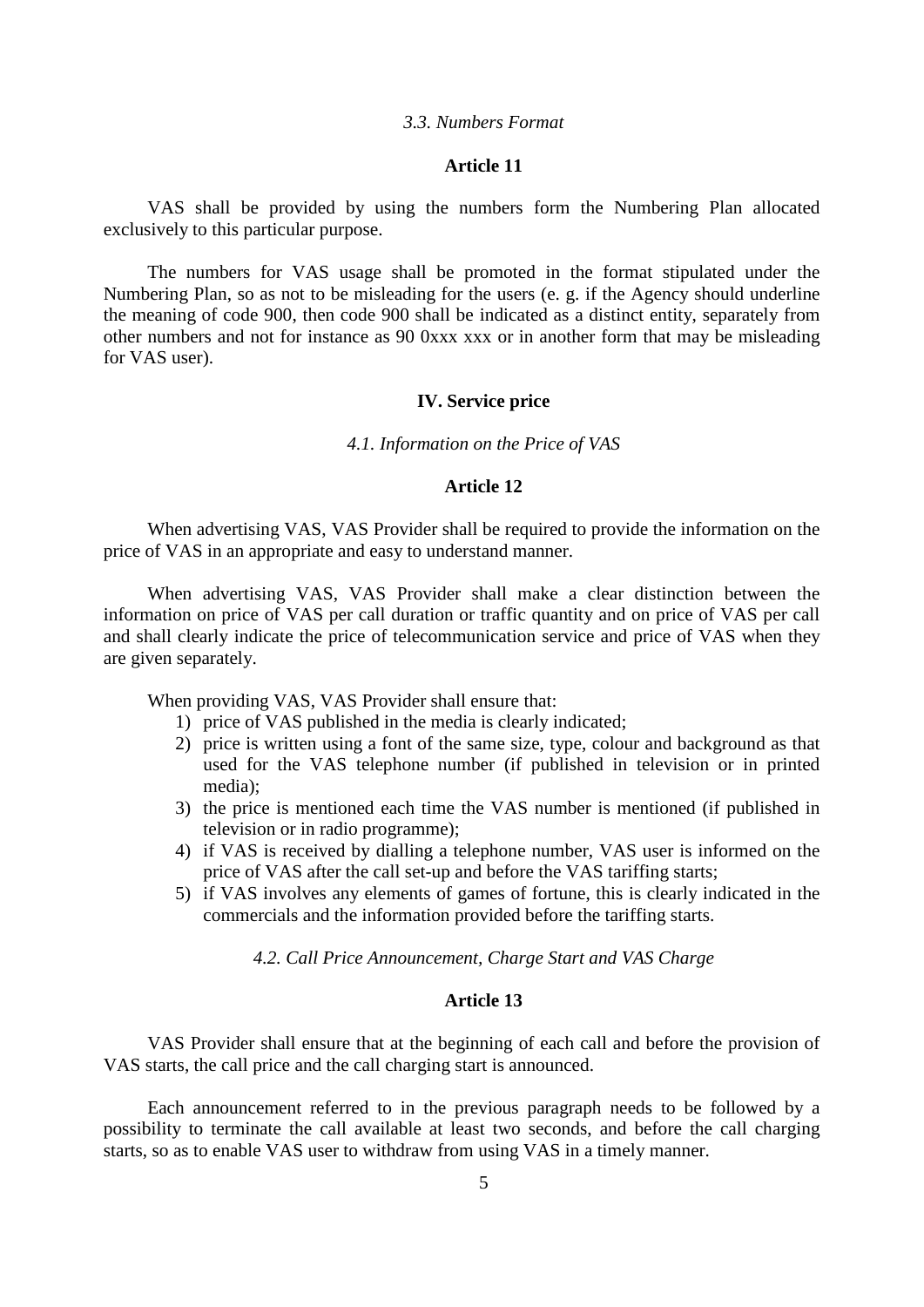#### *3.3. Numbers Format*

### **Article 11**

VAS shall be provided by using the numbers form the Numbering Plan allocated exclusively to this particular purpose.

The numbers for VAS usage shall be promoted in the format stipulated under the Numbering Plan, so as not to be misleading for the users (e. g. if the Agency should underline the meaning of code 900, then code 900 shall be indicated as a distinct entity, separately from other numbers and not for instance as 90 0xxx xxx or in another form that may be misleading for VAS user).

#### **IV. Service price**

*4.1. Information on the Price of VAS*

# **Article 12**

When advertising VAS, VAS Provider shall be required to provide the information on the price of VAS in an appropriate and easy to understand manner.

When advertising VAS, VAS Provider shall make a clear distinction between the information on price of VAS per call duration or traffic quantity and on price of VAS per call and shall clearly indicate the price of telecommunication service and price of VAS when they are given separately.

When providing VAS, VAS Provider shall ensure that:

- 1) price of VAS published in the media is clearly indicated;
- 2) price is written using a font of the same size, type, colour and background as that used for the VAS telephone number (if published in television or in printed media);
- 3) the price is mentioned each time the VAS number is mentioned (if published in television or in radio programme);
- 4) if VAS is received by dialling a telephone number, VAS user is informed on the price of VAS after the call set-up and before the VAS tariffing starts;
- 5) if VAS involves any elements of games of fortune, this is clearly indicated in the commercials and the information provided before the tariffing starts.

*4.2. Call Price Announcement, Charge Start and VAS Charge* 

### **Article 13**

VAS Provider shall ensure that at the beginning of each call and before the provision of VAS starts, the call price and the call charging start is announced.

Each announcement referred to in the previous paragraph needs to be followed by a possibility to terminate the call available at least two seconds, and before the call charging starts, so as to enable VAS user to withdraw from using VAS in a timely manner.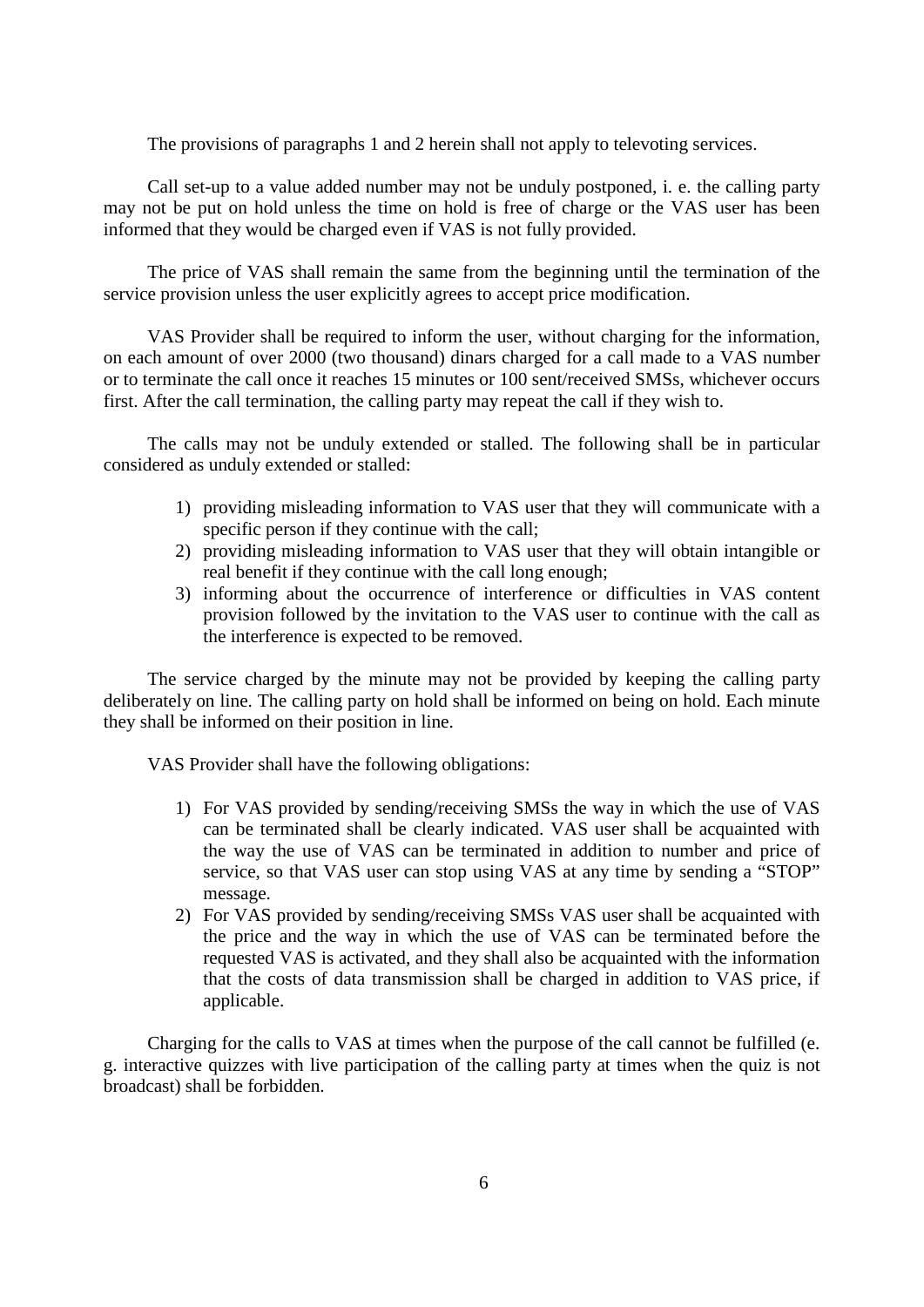The provisions of paragraphs 1 and 2 herein shall not apply to televoting services.

Call set-up to a value added number may not be unduly postponed, i. e. the calling party may not be put on hold unless the time on hold is free of charge or the VAS user has been informed that they would be charged even if VAS is not fully provided.

The price of VAS shall remain the same from the beginning until the termination of the service provision unless the user explicitly agrees to accept price modification.

VAS Provider shall be required to inform the user, without charging for the information, on each amount of over 2000 (two thousand) dinars charged for a call made to a VAS number or to terminate the call once it reaches 15 minutes or 100 sent/received SMSs, whichever occurs first. After the call termination, the calling party may repeat the call if they wish to.

The calls may not be unduly extended or stalled. The following shall be in particular considered as unduly extended or stalled:

- 1) providing misleading information to VAS user that they will communicate with a specific person if they continue with the call;
- 2) providing misleading information to VAS user that they will obtain intangible or real benefit if they continue with the call long enough;
- 3) informing about the occurrence of interference or difficulties in VAS content provision followed by the invitation to the VAS user to continue with the call as the interference is expected to be removed.

The service charged by the minute may not be provided by keeping the calling party deliberately on line. The calling party on hold shall be informed on being on hold. Each minute they shall be informed on their position in line.

VAS Provider shall have the following obligations:

- 1) For VAS provided by sending/receiving SMSs the way in which the use of VAS can be terminated shall be clearly indicated. VAS user shall be acquainted with the way the use of VAS can be terminated in addition to number and price of service, so that VAS user can stop using VAS at any time by sending a "STOP" message.
- 2) For VAS provided by sending/receiving SMSs VAS user shall be acquainted with the price and the way in which the use of VAS can be terminated before the requested VAS is activated, and they shall also be acquainted with the information that the costs of data transmission shall be charged in addition to VAS price, if applicable.

Charging for the calls to VAS at times when the purpose of the call cannot be fulfilled (e. g. interactive quizzes with live participation of the calling party at times when the quiz is not broadcast) shall be forbidden.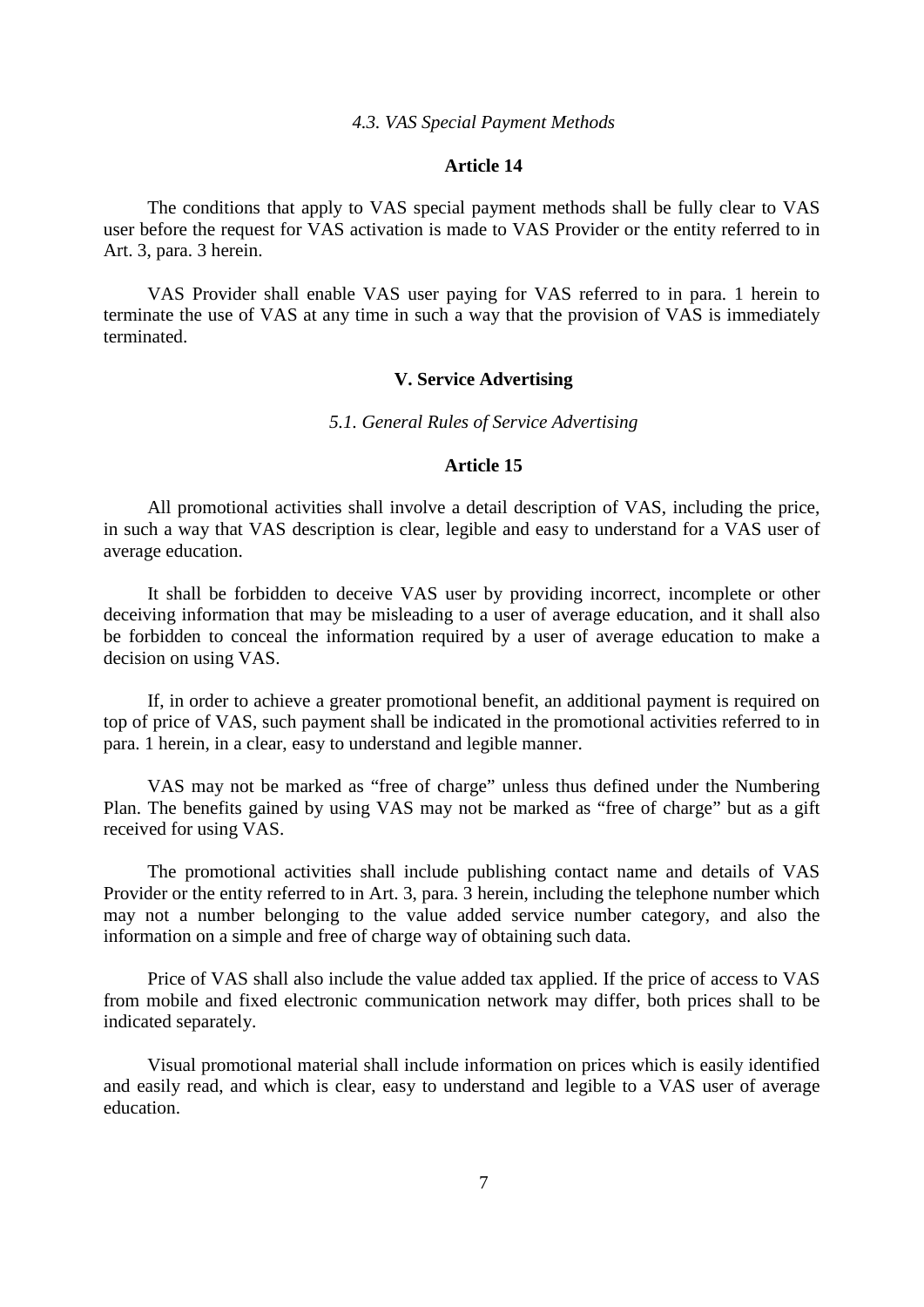#### *4.3. VAS Special Payment Methods*

#### **Article 14**

The conditions that apply to VAS special payment methods shall be fully clear to VAS user before the request for VAS activation is made to VAS Provider or the entity referred to in Art. 3, para. 3 herein.

VAS Provider shall enable VAS user paying for VAS referred to in para. 1 herein to terminate the use of VAS at any time in such a way that the provision of VAS is immediately terminated.

### **V. Service Advertising**

### *5.1. General Rules of Service Advertising*

### **Article 15**

All promotional activities shall involve a detail description of VAS, including the price, in such a way that VAS description is clear, legible and easy to understand for a VAS user of average education.

It shall be forbidden to deceive VAS user by providing incorrect, incomplete or other deceiving information that may be misleading to a user of average education, and it shall also be forbidden to conceal the information required by a user of average education to make a decision on using VAS.

If, in order to achieve a greater promotional benefit, an additional payment is required on top of price of VAS, such payment shall be indicated in the promotional activities referred to in para. 1 herein, in a clear, easy to understand and legible manner.

VAS may not be marked as "free of charge" unless thus defined under the Numbering Plan. The benefits gained by using VAS may not be marked as "free of charge" but as a gift received for using VAS.

The promotional activities shall include publishing contact name and details of VAS Provider or the entity referred to in Art. 3, para. 3 herein, including the telephone number which may not a number belonging to the value added service number category, and also the information on a simple and free of charge way of obtaining such data.

Price of VAS shall also include the value added tax applied. If the price of access to VAS from mobile and fixed electronic communication network may differ, both prices shall to be indicated separately.

Visual promotional material shall include information on prices which is easily identified and easily read, and which is clear, easy to understand and legible to a VAS user of average education.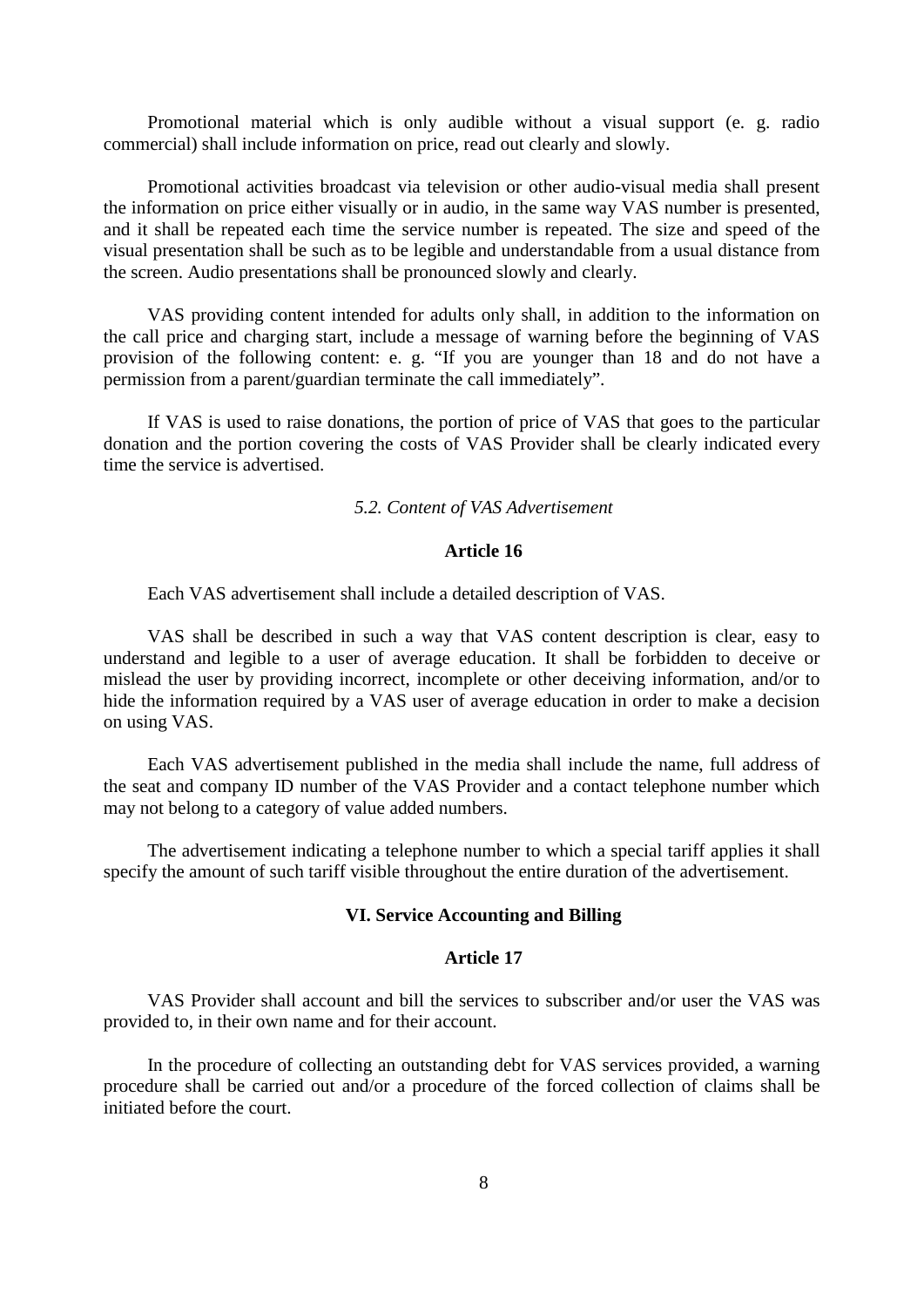Promotional material which is only audible without a visual support (e. g. radio commercial) shall include information on price, read out clearly and slowly.

Promotional activities broadcast via television or other audio-visual media shall present the information on price either visually or in audio, in the same way VAS number is presented, and it shall be repeated each time the service number is repeated. The size and speed of the visual presentation shall be such as to be legible and understandable from a usual distance from the screen. Audio presentations shall be pronounced slowly and clearly.

VAS providing content intended for adults only shall, in addition to the information on the call price and charging start, include a message of warning before the beginning of VAS provision of the following content: e. g. "If you are younger than 18 and do not have a permission from a parent/guardian terminate the call immediately".

If VAS is used to raise donations, the portion of price of VAS that goes to the particular donation and the portion covering the costs of VAS Provider shall be clearly indicated every time the service is advertised.

#### *5.2. Content of VAS Advertisement*

# **Article 16**

Each VAS advertisement shall include a detailed description of VAS.

VAS shall be described in such a way that VAS content description is clear, easy to understand and legible to a user of average education. It shall be forbidden to deceive or mislead the user by providing incorrect, incomplete or other deceiving information, and/or to hide the information required by a VAS user of average education in order to make a decision on using VAS.

Each VAS advertisement published in the media shall include the name, full address of the seat and company ID number of the VAS Provider and a contact telephone number which may not belong to a category of value added numbers.

The advertisement indicating a telephone number to which a special tariff applies it shall specify the amount of such tariff visible throughout the entire duration of the advertisement.

### **VI. Service Accounting and Billing**

# **Article 17**

VAS Provider shall account and bill the services to subscriber and/or user the VAS was provided to, in their own name and for their account.

In the procedure of collecting an outstanding debt for VAS services provided, a warning procedure shall be carried out and/or a procedure of the forced collection of claims shall be initiated before the court.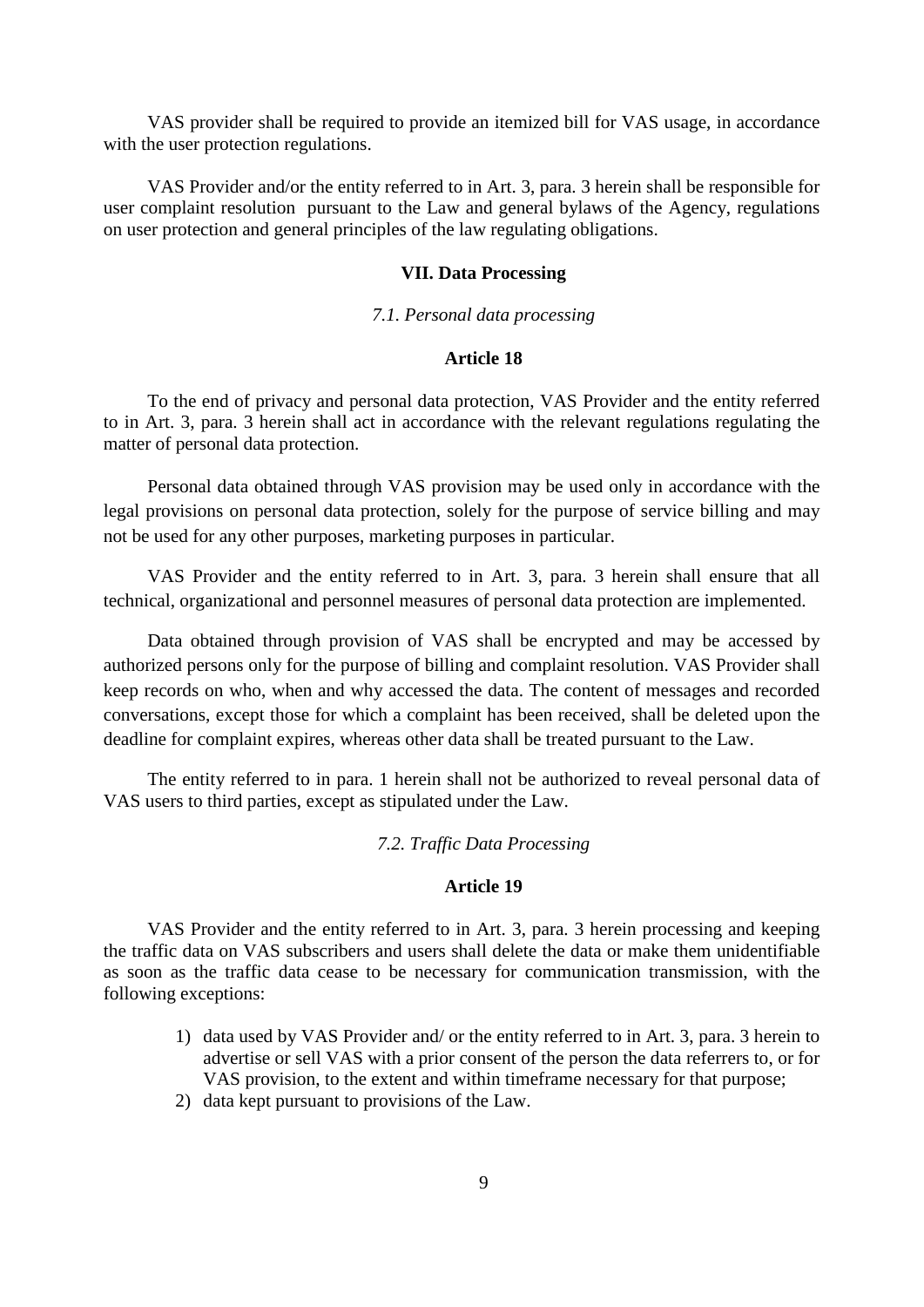VAS provider shall be required to provide an itemized bill for VAS usage, in accordance with the user protection regulations.

VAS Provider and/or the entity referred to in Art. 3, para. 3 herein shall be responsible for user complaint resolution pursuant to the Law and general bylaws of the Agency, regulations on user protection and general principles of the law regulating obligations.

# **VII. Data Processing**

# *7.1. Personal data processing*

# **Article 18**

To the end of privacy and personal data protection, VAS Provider and the entity referred to in Art. 3, para. 3 herein shall act in accordance with the relevant regulations regulating the matter of personal data protection.

Personal data obtained through VAS provision may be used only in accordance with the legal provisions on personal data protection, solely for the purpose of service billing and may not be used for any other purposes, marketing purposes in particular.

VAS Provider and the entity referred to in Art. 3, para. 3 herein shall ensure that all technical, organizational and personnel measures of personal data protection are implemented.

Data obtained through provision of VAS shall be encrypted and may be accessed by authorized persons only for the purpose of billing and complaint resolution. VAS Provider shall keep records on who, when and why accessed the data. The content of messages and recorded conversations, except those for which a complaint has been received, shall be deleted upon the deadline for complaint expires, whereas other data shall be treated pursuant to the Law.

The entity referred to in para. 1 herein shall not be authorized to reveal personal data of VAS users to third parties, except as stipulated under the Law.

# *7.2. Traffic Data Processing*

# **Article 19**

VAS Provider and the entity referred to in Art. 3, para. 3 herein processing and keeping the traffic data on VAS subscribers and users shall delete the data or make them unidentifiable as soon as the traffic data cease to be necessary for communication transmission, with the following exceptions:

- 1) data used by VAS Provider and/ or the entity referred to in Art. 3, para. 3 herein to advertise or sell VAS with a prior consent of the person the data referrers to, or for VAS provision, to the extent and within timeframe necessary for that purpose;
- 2) data kept pursuant to provisions of the Law.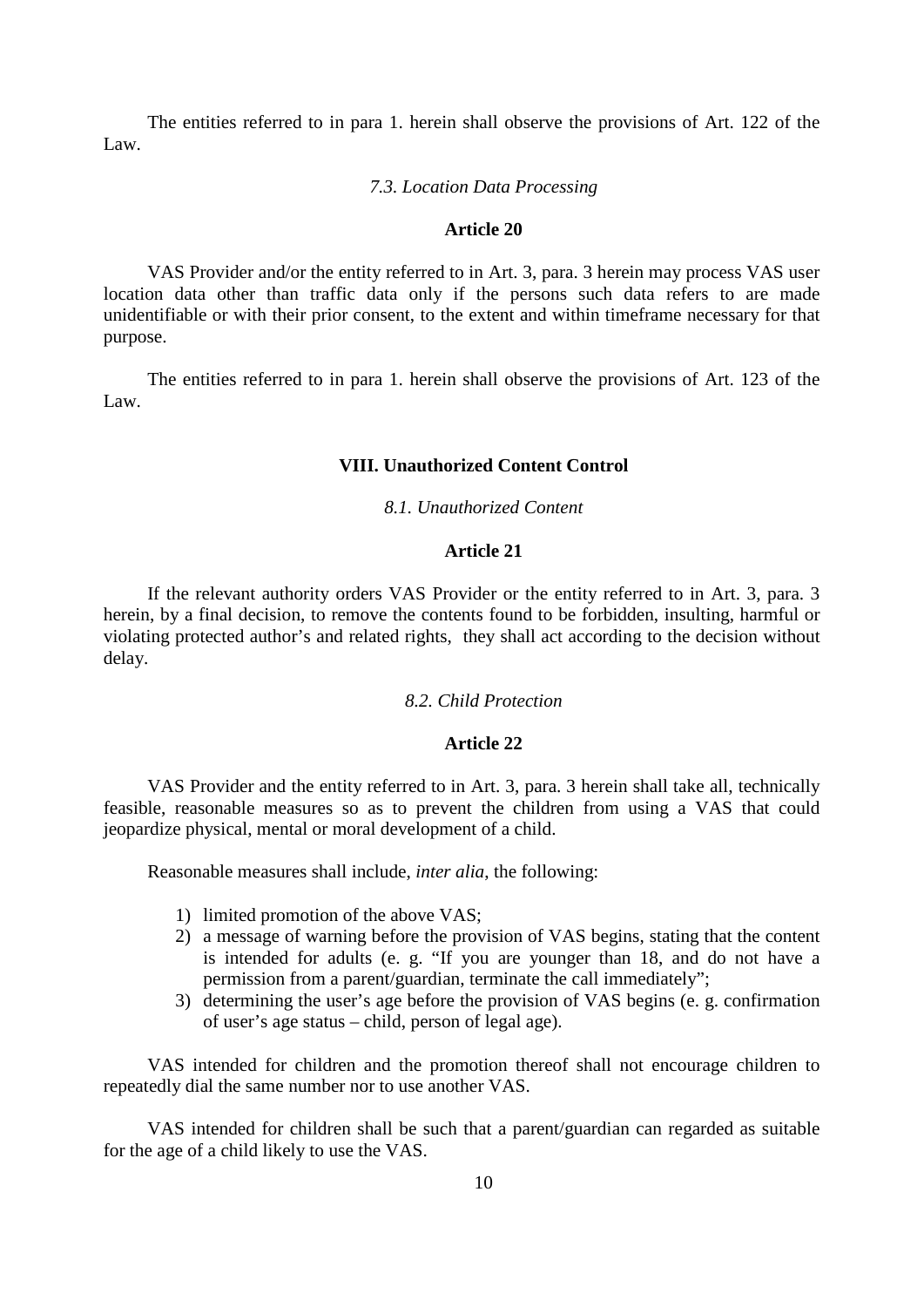The entities referred to in para 1. herein shall observe the provisions of Art. 122 of the Law.

#### *7.3. Location Data Processing*

# **Article 20**

VAS Provider and/or the entity referred to in Art. 3, para. 3 herein may process VAS user location data other than traffic data only if the persons such data refers to are made unidentifiable or with their prior consent, to the extent and within timeframe necessary for that purpose.

The entities referred to in para 1. herein shall observe the provisions of Art. 123 of the Law.

#### **VIII. Unauthorized Content Control**

# *8.1. Unauthorized Content*

# **Article 21**

If the relevant authority orders VAS Provider or the entity referred to in Art. 3, para. 3 herein, by a final decision, to remove the contents found to be forbidden, insulting, harmful or violating protected author's and related rights, they shall act according to the decision without delay.

#### *8.2. Child Protection*

# **Article 22**

VAS Provider and the entity referred to in Art. 3, para. 3 herein shall take all, technically feasible, reasonable measures so as to prevent the children from using a VAS that could jeopardize physical, mental or moral development of a child.

Reasonable measures shall include, *inter alia*, the following:

- 1) limited promotion of the above VAS;
- 2) a message of warning before the provision of VAS begins, stating that the content is intended for adults (e. g. "If you are younger than 18, and do not have a permission from a parent/guardian, terminate the call immediately";
- 3) determining the user's age before the provision of VAS begins (e. g. confirmation of user's age status – child, person of legal age).

VAS intended for children and the promotion thereof shall not encourage children to repeatedly dial the same number nor to use another VAS.

VAS intended for children shall be such that a parent/guardian can regarded as suitable for the age of a child likely to use the VAS.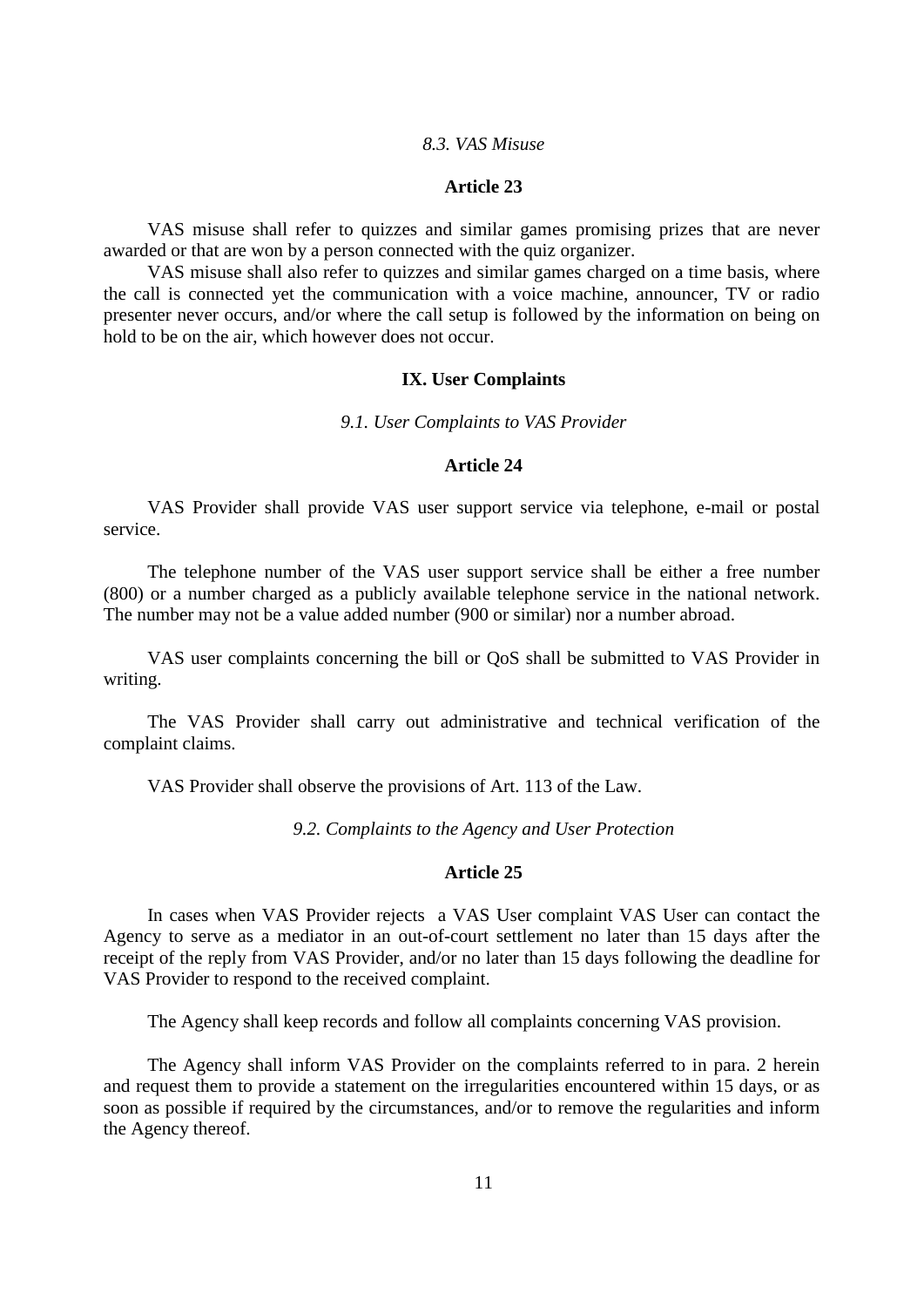#### *8.3. VAS Misuse*

# **Article 23**

VAS misuse shall refer to quizzes and similar games promising prizes that are never awarded or that are won by a person connected with the quiz organizer.

VAS misuse shall also refer to quizzes and similar games charged on a time basis, where the call is connected yet the communication with a voice machine, announcer, TV or radio presenter never occurs, and/or where the call setup is followed by the information on being on hold to be on the air, which however does not occur.

#### **IX. User Complaints**

*9.1. User Complaints to VAS Provider* 

#### **Article 24**

VAS Provider shall provide VAS user support service via telephone, e-mail or postal service.

The telephone number of the VAS user support service shall be either a free number (800) or a number charged as a publicly available telephone service in the national network. The number may not be a value added number (900 or similar) nor a number abroad.

VAS user complaints concerning the bill or QoS shall be submitted to VAS Provider in writing.

The VAS Provider shall carry out administrative and technical verification of the complaint claims.

VAS Provider shall observe the provisions of Art. 113 of the Law.

*9.2. Complaints to the Agency and User Protection* 

# **Article 25**

In cases when VAS Provider rejects a VAS User complaint VAS User can contact the Agency to serve as a mediator in an out-of-court settlement no later than 15 days after the receipt of the reply from VAS Provider, and/or no later than 15 days following the deadline for VAS Provider to respond to the received complaint.

The Agency shall keep records and follow all complaints concerning VAS provision.

The Agency shall inform VAS Provider on the complaints referred to in para. 2 herein and request them to provide a statement on the irregularities encountered within 15 days, or as soon as possible if required by the circumstances, and/or to remove the regularities and inform the Agency thereof.